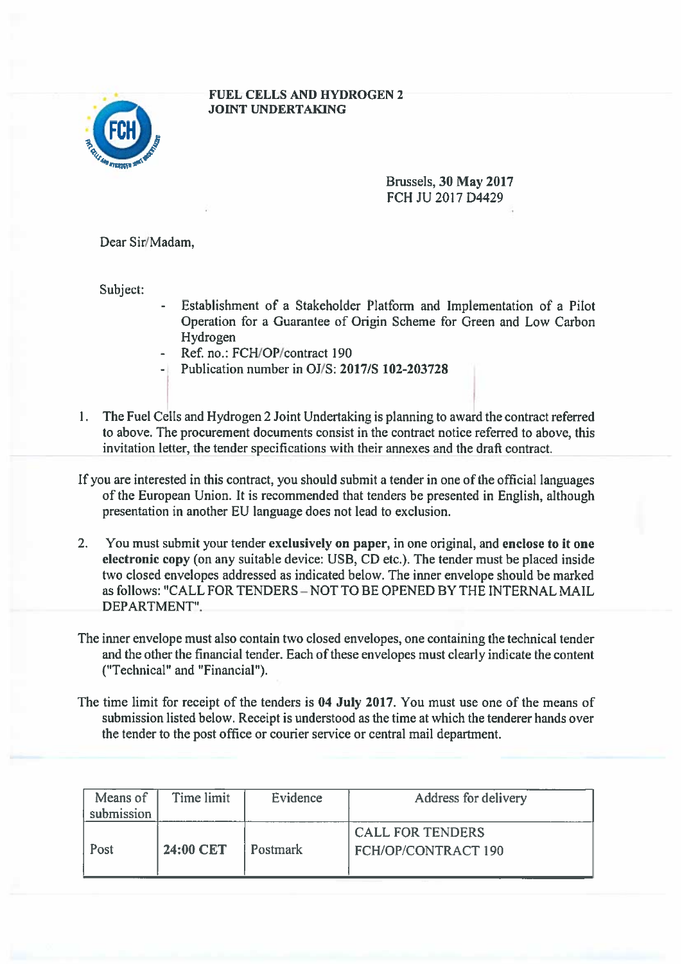

## FUEL CELLS AND HYDROGEN 2 JOINT UNDERTAKING

Brussels, 30 May 2017 FCH JU 2017 D4429

Dear Sir/Madam,

Subject:

- Establishment of <sup>a</sup> Stakeholder Platform and Implementation of <sup>a</sup> Pilot Operation for <sup>a</sup> Guarantee of Origin Scheme for Green and Low Carbon Hydrogen
- Ref. no.: FCH/OP/contract 190
- Publication number in OJ/S: 2017/S 102-203728
- 1. The Fuel Cells and Hydrogen 2 Joint Undertaking is planning to award the contract referred to above. The procuremen<sup>t</sup> documents consist in the contract notice referred to above, this invitation letter, the tender specifications with their annexes and the draft contract.

If you are interested in this contract, you should submit <sup>a</sup> tender in one of the official languages of the European Union. It is recommended that tenders be presented in English, although presentation in another EU language does not lead to exclusion.

- 2. You must submit your tender exclusively on paper, in one original, and enclose to it one electronic copy (on any suitable device: USB, CD etc.). The tender must be placed inside two closed envelopes addressed as indicated below. The inner envelope should be marked as follows: "CALL FOR TENDERS - NOT TO BE OPENED BY THE INTERNAL MAIL DEPARTMENT'.
- The inner envelope must also contain two closed envelopes, one containing the technical tender and the other the financial tender. Each of these envelopes must clearly indicate the content ("Technical" and "Financial").
- The time limit for receipt of the tenders is 04 July 2017. You must use one of the means of submission listed below. Receipt is understood as the time at which the tenderer hands over the tender to the pos<sup>t</sup> office or courier service or central mail department.

| Means of<br>submission | Time limit | Evidence        | Address for delivery                           |
|------------------------|------------|-----------------|------------------------------------------------|
| Post                   | 24:00 CET  | <b>Postmark</b> | <b>CALL FOR TENDERS</b><br>FCH/OP/CONTRACT 190 |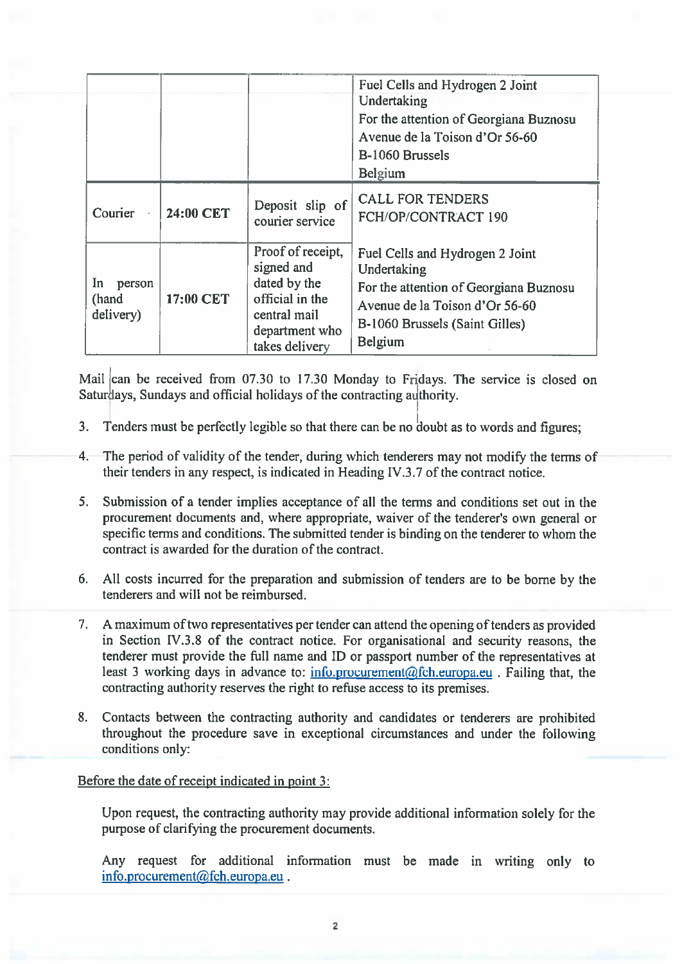|                                     |           |                                                                                                                        | Fuel Cells and Hydrogen 2 Joint<br>Undertaking<br>For the attention of Georgiana Buznosu<br>Avenue de la Toison d'Or 56-60<br>B-1060 Brussels<br>Belgium                |
|-------------------------------------|-----------|------------------------------------------------------------------------------------------------------------------------|-------------------------------------------------------------------------------------------------------------------------------------------------------------------------|
| Courier                             | 24:00 CET | Deposit slip of<br>courier service                                                                                     | <b>CALL FOR TENDERS</b><br>FCH/OP/CONTRACT 190                                                                                                                          |
| In.<br>person<br>(hand<br>delivery) | 17:00 CET | Proof of receipt,<br>signed and<br>dated by the<br>official in the<br>central mail<br>department who<br>takes delivery | Fuel Cells and Hydrogen 2 Joint<br>Undertaking<br>For the attention of Georgiana Buznosu<br>Avenue de la Toison d'Or 56-60<br>B-1060 Brussels (Saint Gilles)<br>Belgium |

Mail can be received from 07.30 to 17.30 Monday to Fridays. The service is closed on Saturdays, Sundays and official holidays of the contracting authority.

- 3. Tenders must be perfectly legible so that there can be no doubt as to words and figures;
- 4. The period of validity of the tender, during which tenderers may not modify the terms of their tenders in any respect, is indicated in Heading IV.3.7 of the contract notice.
- 5. Submission of <sup>a</sup> tender implies acceptance of all the terms and conditions set out in the procurement documents and, where appropriate, waiver of the tenderer's own general or specific terms and conditions. The submitted tender is binding on the tenderer to whom the contract is awarded for the duration of the contract.
- 6. All costs incurred for the preparation and submission of tenders are to be borne by the tenderers and will not be reimbursed.
- 7. A maximum of two representatives per tender can attend the opening of tenders as provided in Section IV.3.8 of the contract notice. For organisational and security reasons, the tenderer must provide the full name and ID or passport number of the representatives at least 3 working days in advance to: info.procurement@fch.europa.eu . Failing that, the contracting authority reserves the right to refuse access to its premises.
- 8. Contacts between the contracting authority and candidates or tenderers are prohibited throughout the procedure save in exceptional circumstances and under the following conditions only:

## Before the date of receipt indicated in point 3:

Upon request, the contracting authority may provide additional information solely for the purpose of clarifying the procuremen<sup>t</sup> documents.

Any reques<sup>t</sup> for additional information must be made in writing only to info.procurement@fch.europa.eu.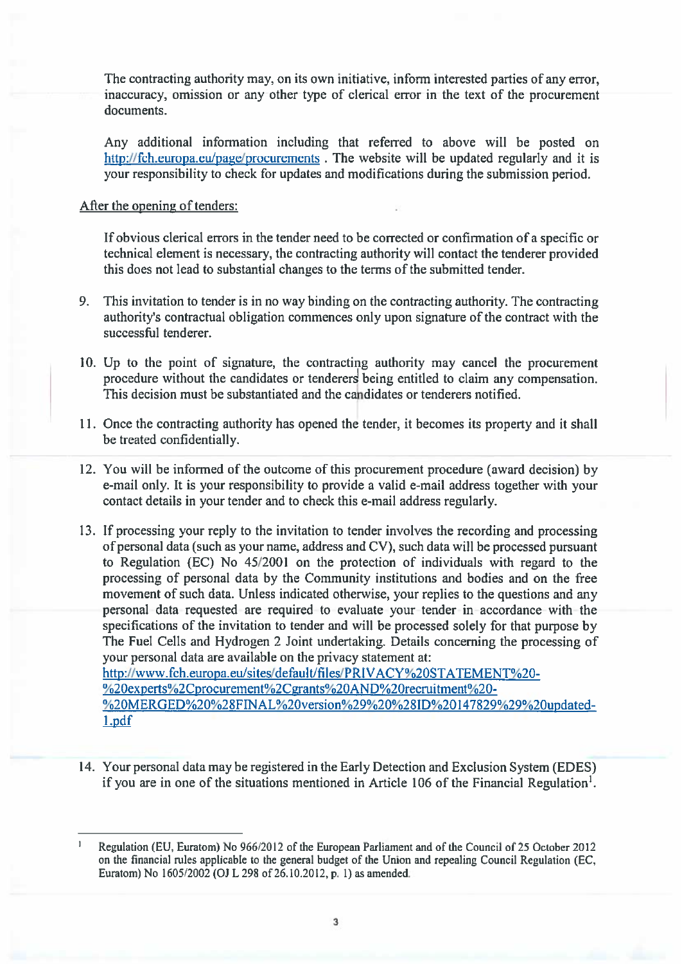The contracting authority may, on its own initiative, inform interested parties of any error, inaccuracy, omission or any other type of clerical error in the text of the procuremen<sup>t</sup> documents.

Any additional information including that referred to above will be posted on http://fch.europa.eu/page/procurements. The website will be updated regularly and it is your responsibility to check for updates and modifications during the submission period.

## After the opening of tenders:

If obvious clerical errors in the tender need to be corrected or confirmation of <sup>a</sup> specific or technical element is necessary, the contracting authority will contact the tenderer provided this does not lead to substantial changes to the terms of the submitted tender.

- 9. This invitation to tender is in no way binding on the contracting authority. The contracting authority's contractual obligation commences only upon signature of the contract with the successful tenderer.
- 10. Up to the point of signature, the contracting authority may cancel the procuremen<sup>t</sup> procedure without the candidates or tenderers being entitled to claim any compensation. This decision must be substantiated and the cahdidates or tenderers notified.
- 11. Once the contracting authority has opened the tender, it becomes its property and it shall be treated confidentially.
- 12. You will be informed of the outcome of this procuremen<sup>t</sup> procedure (award decision) by e-mail only. It is your responsibility to provide <sup>a</sup> valid e-mail address together with your contact details in your tender and to check this e-mail address regularly.
- 13. If processing your reply to the invitation to tender involves the recording and processing of personal data (such as your name, address and CV), such data will be processed pursuan<sup>t</sup> to Regulation (EC) No 45/2001 on the protection of individuals with regard to the processing of personal data by the Community institutions and bodies and on the free movement of such data. Unless indicated otherwise, your replies to the questions and any personal data requested are required to evaluate your tender in accordance with the specifications of the invitation to tender and will be processed solely for that purpose by The Fuel Cells and Hydrogen 2 Joint undertaking. Details concerning the processing of your personal data are available on the privacy statement at: http://www.fch.europa.eu/sites/default/files/PRIVACY%2OSTATEMENT%20- %20experts%2Cprocurement%2Cgrants%2OAND%2orecruitment%20- %20MERGED%20%28FINAL%20version%29%20%28ID%20147829%29%20updated-

1.pdf

14. Your personal data may be registered in the Early Detection and Exclusion System (EDES) if you are in one of the situations mentioned in Article 106 of the Financial Regulation'.

Regulation (EU, Euratom) No 966/2012 of the European Parliament and of the Council of 25 October 2012 on the financial rules applicable to the general budget of the Union and repealing Council Regulation (EC, Euratom) No 1605/2002 (OJ <sup>L</sup> <sup>298</sup> of 26.10.2012, p. 1) as amended.